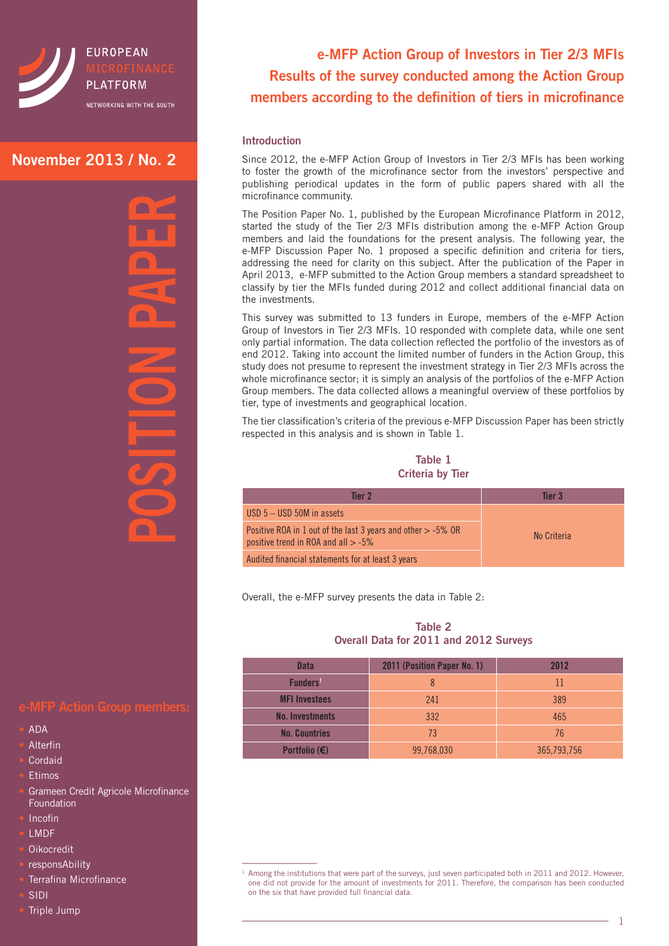

## **November 2013 / No. 2**

r  $\Box$  $\overline{\phantom{a}}$ 

## **e-MFP Action Group members:**

- ADA
- **Alterfin**
- **Cordaid**
- **Etimos**
- Grameen Credit Agricole Microfinance Foundation
- **Incofin**
- LMDF
- Oikocredit
- responsAbility
- Terrafina Microfinance
- SIDI
- Triple Jump

# **e-MFP Action Group of Investors in Tier 2/3 MFIs Results of the survey conducted among the Action Group members according to the definition of tiers in microfinance**

### **Introduction**

Since 2012, the e-MFP Action Group of Investors in Tier 2/3 MFIs has been working to foster the growth of the microfinance sector from the investors' perspective and publishing periodical updates in the form of public papers shared with all the microfinance community.

The Position Paper No. 1, published by the European Microfinance Platform in 2012, started the study of the Tier 2/3 MFIs distribution among the e-MFP Action Group members and laid the foundations for the present analysis. The following year, the e-MFP Discussion Paper No. 1 proposed a specific definition and criteria for tiers, addressing the need for clarity on this subject. After the publication of the Paper in April 2013, e-MFP submitted to the Action Group members a standard spreadsheet to classify by tier the MFIs funded during 2012 and collect additional financial data on the investments.

This survey was submitted to 13 funders in Europe, members of the e-MFP Action Group of Investors in Tier 2/3 MFIs. 10 responded with complete data, while one sent only partial information. The data collection reflected the portfolio of the investors as of end 2012. Taking into account the limited number of funders in the Action Group, this study does not presume to represent the investment strategy in Tier 2/3 MFIs across the whole microfinance sector; it is simply an analysis of the portfolios of the e-MFP Action Group members. The data collected allows a meaningful overview of these portfolios by tier, type of investments and geographical location.

The tier classification's criteria of the previous e-MFP Discussion Paper has been strictly respected in this analysis and is shown in Table 1.

**Table 1 Criteria by Tier**

| Tier 2                                                                                                   | Tier 3      |
|----------------------------------------------------------------------------------------------------------|-------------|
| USD $5 -$ USD 50M in assets                                                                              |             |
| Positive ROA in 1 out of the last 3 years and other $>$ -5% OR<br>positive trend in ROA and all $> -5\%$ | No Criteria |
| Audited financial statements for at least 3 years                                                        |             |

Overall, the e-MFP survey presents the data in Table 2:

#### **Table 2 Overall Data for 2011 and 2012 Surveys**

| <b>Data</b>            | 2011 (Position Paper No. 1) | 2012        |
|------------------------|-----------------------------|-------------|
| Funders <sup>1</sup>   | 8                           | 11          |
| <b>MFI Investees</b>   | 241                         | 389         |
| <b>No. Investments</b> | 332                         | 465         |
| <b>No. Countries</b>   | 73                          | 76          |
| Portfolio $(\epsilon)$ | 99,768,030                  | 365,793,756 |

<sup>&</sup>lt;sup>1</sup> Among the institutions that were part of the surveys, just seven participated both in 2011 and 2012. However, one did not provide for the amount of investments for 2011. Therefore, the comparison has been conducted on the six that have provided full financial data.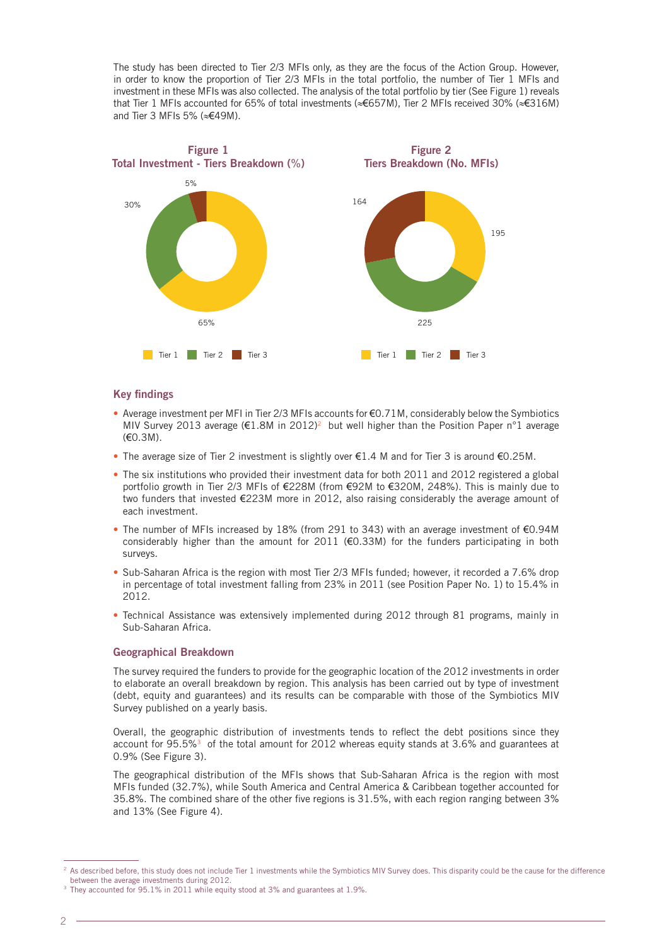The study has been directed to Tier 2/3 MFIs only, as they are the focus of the Action Group. However, in order to know the proportion of Tier 2/3 MFIs in the total portfolio, the number of Tier 1 MFIs and investment in these MFIs was also collected. The analysis of the total portfolio by tier (See Figure 1) reveals that Tier 1 MFIs accounted for 65% of total investments (≈€657M), Tier 2 MFIs received 30% (≈€316M) and Tier 3 MFIs 5% (≈€49M).



#### **Key findings**

- Average investment per MFI in Tier 2/3 MFIs accounts for  $\epsilon$ 0.71M, considerably below the Symbiotics MIV Survey 2013 average ( $E1.8M$  in 2012)<sup>2</sup> but well higher than the Position Paper n°1 average (€0.3M).
- The average size of Tier 2 investment is slightly over  $\epsilon$ 1.4 M and for Tier 3 is around  $\epsilon$ 0.25M.
- The six institutions who provided their investment data for both 2011 and 2012 registered a global portfolio growth in Tier 2/3 MFIs of €228M (from €92M to €320M, 248%). This is mainly due to two funders that invested €223M more in 2012, also raising considerably the average amount of each investment.
- The number of MFIs increased by 18% (from 291 to 343) with an average investment of  $E$ 0.94M considerably higher than the amount for 2011 ( $\epsilon$ 0.33M) for the funders participating in both surveys.
- Sub-Saharan Africa is the region with most Tier 2/3 MFIs funded; however, it recorded a 7.6% drop in percentage of total investment falling from 23% in 2011 (see Position Paper No. 1) to 15.4% in 2012.
- Technical Assistance was extensively implemented during 2012 through 81 programs, mainly in Sub-Saharan Africa.

#### **Geographical Breakdown**

The survey required the funders to provide for the geographic location of the 2012 investments in order to elaborate an overall breakdown by region. This analysis has been carried out by type of investment (debt, equity and guarantees) and its results can be comparable with those of the Symbiotics MIV Survey published on a yearly basis.

Overall, the geographic distribution of investments tends to reflect the debt positions since they account for 95.5%<sup>3</sup> of the total amount for 2012 whereas equity stands at 3.6% and guarantees at 0.9% (See Figure 3).

The geographical distribution of the MFIs shows that Sub-Saharan Africa is the region with most MFIs funded (32.7%), while South America and Central America & Caribbean together accounted for 35.8%. The combined share of the other five regions is 31.5%, with each region ranging between 3% and 13% (See Figure 4).

<sup>&</sup>lt;sup>2</sup> As described before, this study does not include Tier 1 investments while the Symbiotics MIV Survey does. This disparity could be the cause for the difference between the average investments during 2012.

<sup>&</sup>lt;sup>3</sup> They accounted for 95.1% in 2011 while equity stood at 3% and guarantees at 1.9%.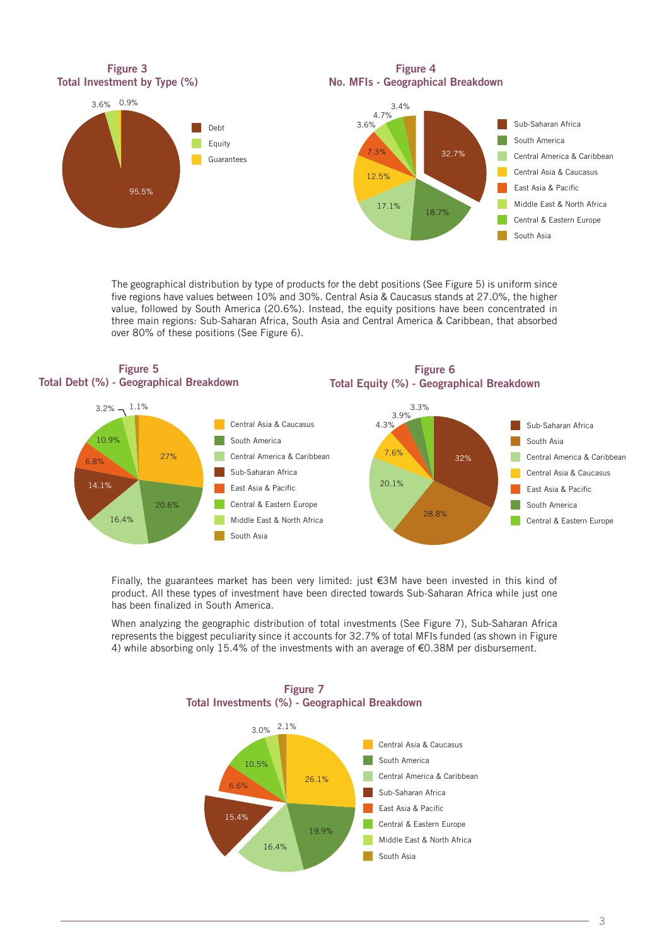

The geographical distribution by type of products for the debt positions (See Figure 5) is uniform since five regions have values between 10% and 30%. Central Asia & Caucasus stands at 27.0%, the higher value, followed by South America (20.6%). Instead, the equity positions have been concentrated in three main regions: Sub-Saharan Africa, South Asia and Central America & Caribbean, that absorbed over 80% of these positions (See Figure 6).





**Figure 6**

Finally, the guarantees market has been very limited: just €3M have been invested in this kind of product. All these types of investment have been directed towards Sub-Saharan Africa while just one has been finalized in South America.

When analyzing the geographic distribution of total investments (See Figure 7), Sub-Saharan Africa represents the biggest peculiarity since it accounts for 32.7% of total MFIs funded (as shown in Figure 4) while absorbing only 15.4% of the investments with an average of €0.38M per disbursement.



**Figure 7 Total Investments (%) - Geographical Breakdown**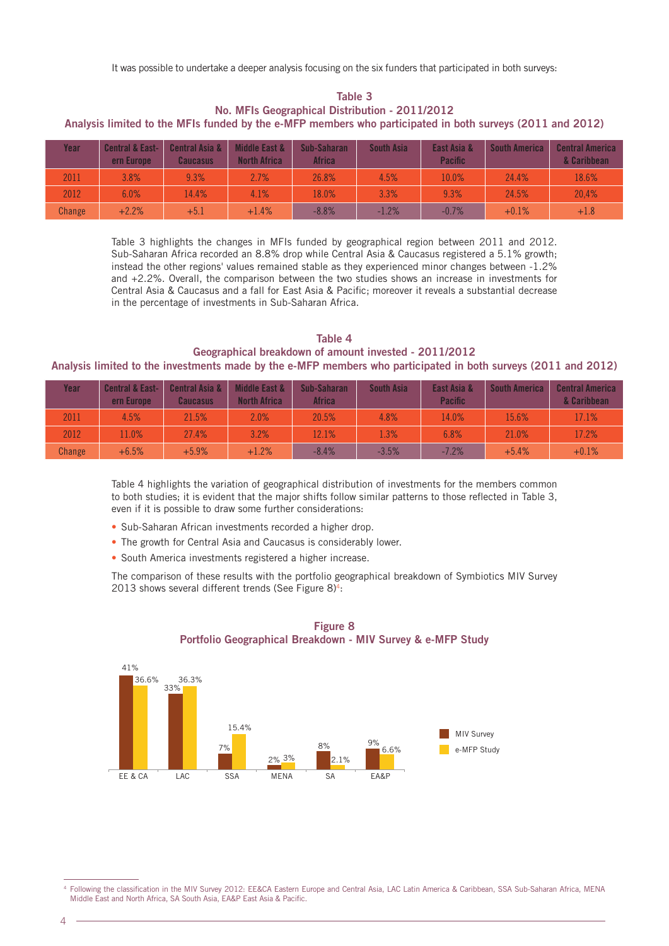It was possible to undertake a deeper analysis focusing on the six funders that participated in both surveys:

**Table 3 No. MFIs Geographical Distribution - 2011/2012 Analysis limited to the MFIs funded by the e-MFP members who participated in both surveys (2011 and 2012)**

| Year   | <b>Central &amp; East-</b><br>ern Europe | <b>Central Asia &amp;</b><br><b>Caucasus</b> | Middle East &<br><b>North Africa</b> | Sub-Saharan<br>Africa | <b>South Asia</b> | East Asia &<br><b>Pacific</b> | <b>South America</b> | <b>Central America</b><br>& Caribbean |
|--------|------------------------------------------|----------------------------------------------|--------------------------------------|-----------------------|-------------------|-------------------------------|----------------------|---------------------------------------|
| 2011   | 3.8%                                     | 9.3%                                         | 2.7%                                 | 26.8%                 | 4.5%              | 10.0%                         | 24.4%                | 18.6%                                 |
| 2012   | 6.0%                                     | 14.4%                                        | 4.1%                                 | 18.0%                 | 3.3%              | 9.3%                          | 24.5%                | 20.4%                                 |
| Change | $+2.2%$                                  | $+5.1$                                       | $+1.4%$                              | $-8.8%$               | $-1.2%$           | $-0.7%$                       | $+0.1%$              | $+1.8$                                |

Table 3 highlights the changes in MFIs funded by geographical region between 2011 and 2012. Sub-Saharan Africa recorded an 8.8% drop while Central Asia & Caucasus registered a 5.1% growth; instead the other regions' values remained stable as they experienced minor changes between -1.2% and +2.2%. Overall, the comparison between the two studies shows an increase in investments for Central Asia & Caucasus and a fall for East Asia & Pacific; moreover it reveals a substantial decrease in the percentage of investments in Sub-Saharan Africa.

**Table 4 Geographical breakdown of amount invested - 2011/2012 Analysis limited to the investments made by the e-MFP members who participated in both surveys (2011 and 2012)**

| Year   | <b>Central &amp; East-</b><br>ern Europe | <b>Central Asia &amp;</b><br><b>Caucasus</b> | Middle East &<br><b>North Africa</b> | Sub-Saharan<br>Africa | <b>South Asia</b> | East Asia &<br><b>Pacific</b> | <b>South America</b> | <b>Central America</b><br>& Caribbean |
|--------|------------------------------------------|----------------------------------------------|--------------------------------------|-----------------------|-------------------|-------------------------------|----------------------|---------------------------------------|
| 2011   | 4.5%                                     | 21.5%                                        | 2.0%                                 | 20.5%                 | 4.8%              | 14.0%                         | 15.6%                | 17.1%                                 |
| 2012   | 11.0%                                    | 27.4%                                        | 3.2%                                 | 12.1%                 | 1.3%              | 6.8%                          | 21.0%                | 17.2%                                 |
| Change | $+6.5%$                                  | $+5.9%$                                      | $+1.2%$                              | $-8.4%$               | $-3.5%$           | $-7.2%$                       | $+5.4%$              | $+0.1%$                               |

Table 4 highlights the variation of geographical distribution of investments for the members common to both studies; it is evident that the major shifts follow similar patterns to those reflected in Table 3, even if it is possible to draw some further considerations:

- Sub-Saharan African investments recorded a higher drop.
- The growth for Central Asia and Caucasus is considerably lower.
- South America investments registered a higher increase.

The comparison of these results with the portfolio geographical breakdown of Symbiotics MIV Survey 2013 shows several different trends (See Figure  $8$ )<sup>4</sup>:





Following the classification in the MIV Survey 2012: EE&CA Eastern Europe and Central Asia, LAC Latin America & Caribbean, SSA Sub-Saharan Africa, MENA Middle East and North Africa, SA South Asia, EA&P East Asia & Pacific.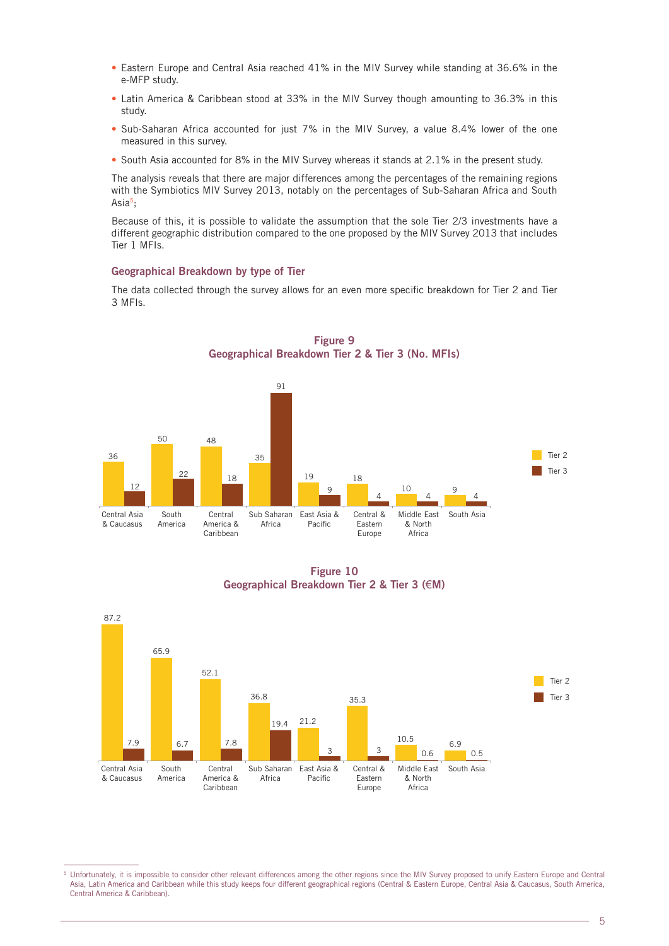- Eastern Europe and Central Asia reached 41% in the MIV Survey while standing at 36.6% in the e-MFP study.
- Latin America & Caribbean stood at 33% in the MIV Survey though amounting to 36.3% in this study.
- • Sub-Saharan Africa accounted for just 7% in the MIV Survey, a value 8.4% lower of the one measured in this survey.
- South Asia accounted for 8% in the MIV Survey whereas it stands at 2.1% in the present study.

The analysis reveals that there are major differences among the percentages of the remaining regions with the Symbiotics MIV Survey 2013, notably on the percentages of Sub-Saharan Africa and South Asia5;

Because of this, it is possible to validate the assumption that the sole Tier 2/3 investments have a different geographic distribution compared to the one proposed by the MIV Survey 2013 that includes Tier 1 MFIs.

#### **Geographical Breakdown by type of Tier**

The data collected through the survey allows for an even more specific breakdown for Tier 2 and Tier 3 MFIs.

**Figure 9**



**Figure 10 Geographical Breakdown Tier 2 & Tier 3 (**€**M)**



<sup>&</sup>lt;sup>5</sup> Unfortunately, it is impossible to consider other relevant differences among the other regions since the MIV Survey proposed to unify Eastern Europe and Central Asia, Latin America and Caribbean while this study keeps four different geographical regions (Central & Eastern Europe, Central Asia & Caucasus, South America, Central America & Caribbean).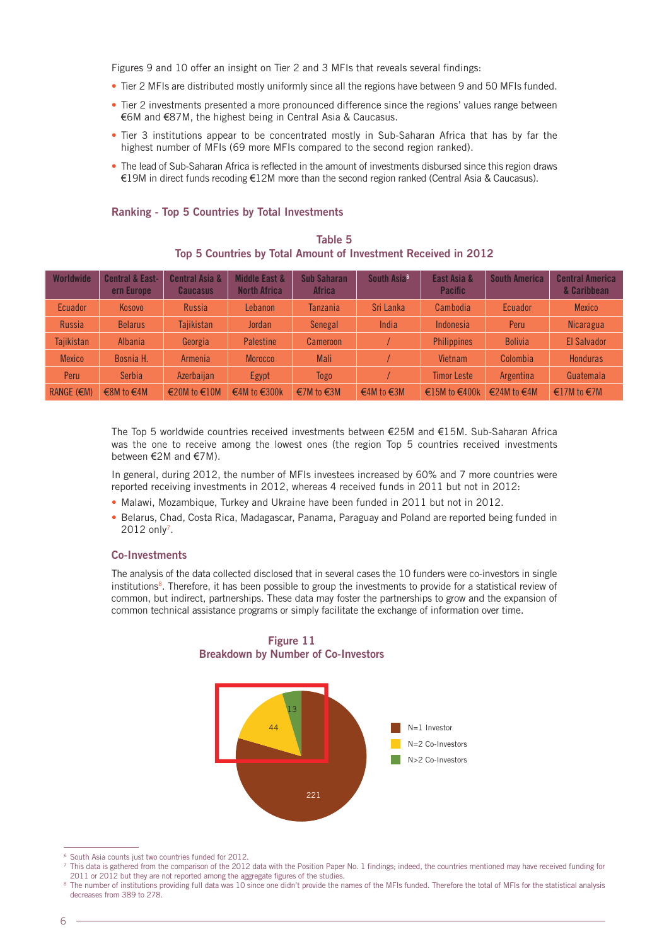Figures 9 and 10 offer an insight on Tier 2 and 3 MFIs that reveals several findings:

- Tier 2 MFIs are distributed mostly uniformly since all the regions have between 9 and 50 MFIs funded.
- Tier 2 investments presented a more pronounced difference since the regions' values range between €6M and €87M, the highest being in Central Asia & Caucasus.
- Tier 3 institutions appear to be concentrated mostly in Sub-Saharan Africa that has by far the highest number of MFIs (69 more MFIs compared to the second region ranked).
- The lead of Sub-Saharan Africa is reflected in the amount of investments disbursed since this region draws €19M in direct funds recoding €12M more than the second region ranked (Central Asia & Caucasus).

#### **Ranking - Top 5 Countries by Total Investments**

|  |  | Table 5 |                                                                |  |  |
|--|--|---------|----------------------------------------------------------------|--|--|
|  |  |         | Top 5 Countries by Total Amount of Investment Received in 2012 |  |  |

| Worldwide       | <b>Central &amp; East-</b><br>ern Europe | <b>Central Asia &amp;</b><br><b>Caucasus</b> | <b>Middle East &amp;</b><br><b>North Africa</b> | <b>Sub Saharan</b><br><b>Africa</b> | South Asia <sup>6</sup> | East Asia &<br><b>Pacific</b> | <b>South America</b> | <b>Central America</b><br>& Caribbean |
|-----------------|------------------------------------------|----------------------------------------------|-------------------------------------------------|-------------------------------------|-------------------------|-------------------------------|----------------------|---------------------------------------|
| <b>Ecuador</b>  | Kosovo                                   | Russia                                       | Lebanon                                         | <b>Tanzania</b>                     | Sri Lanka               | Cambodia                      | Ecuador              | <b>Mexico</b>                         |
| Russia          | <b>Belarus</b>                           | Tajikistan                                   | Jordan                                          | Senegal                             | India                   | Indonesia                     | Peru                 | <b>Nicaragua</b>                      |
| Tajikistan      | Albania                                  | Georgia                                      | <b>Palestine</b>                                | <b>Cameroon</b>                     |                         | <b>Philippines</b>            | <b>Bolivia</b>       | El Salvador                           |
| <b>Mexico</b>   | Bosnia H.                                | Armenia                                      | <b>Morocco</b>                                  | Mali                                |                         | Vietnam                       | Colombia             | <b>Honduras</b>                       |
| Peru            | <b>Serbia</b>                            | Azerbaijan                                   | Egypt                                           | <b>Togo</b>                         |                         | <b>Timor Leste</b>            | Argentina            | Guatemala                             |
| RANGE $(\in M)$ | €8M to $€4M$                             | €20M to $€10M$                               | €4M to $€300k$                                  | €7M to $€3M$                        | €4M to $€3M$            | €15M to $€400k$               | €24M to $€4M$        | €17M to $€7M$                         |

The Top 5 worldwide countries received investments between €25M and €15M. Sub-Saharan Africa was the one to receive among the lowest ones (the region Top 5 countries received investments between €2M and €7M).

In general, during 2012, the number of MFIs investees increased by 60% and 7 more countries were reported receiving investments in 2012, whereas 4 received funds in 2011 but not in 2012:

- Malawi, Mozambique, Turkey and Ukraine have been funded in 2011 but not in 2012.
- Belarus, Chad, Costa Rica, Madagascar, Panama, Paraguay and Poland are reported being funded in 2012 only<sup>7</sup>.

#### **Co-Investments**

The analysis of the data collected disclosed that in several cases the 10 funders were co-investors in single institutions<sup>8</sup>. Therefore, it has been possible to group the investments to provide for a statistical review of common, but indirect, partnerships. These data may foster the partnerships to grow and the expansion of common technical assistance programs or simply facilitate the exchange of information over time.

221 44 13 N=1 Investor N=2 Co-Investors N>2 Co-Investors

**Figure 11 Breakdown by Number of Co-Investors**

<sup>&</sup>lt;sup>6</sup> South Asia counts just two countries funded for 2012.

<sup>&</sup>lt;sup>7</sup> This data is gathered from the comparison of the 2012 data with the Position Paper No. 1 findings; indeed, the countries mentioned may have received funding for 2011 or 2012 but they are not reported among the aggregate figures of the studies.

<sup>&</sup>lt;sup>8</sup> The number of institutions providing full data was 10 since one didn't provide the names of the MFIs funded. Therefore the total of MFIs for the statistical analysis decreases from 389 to 278.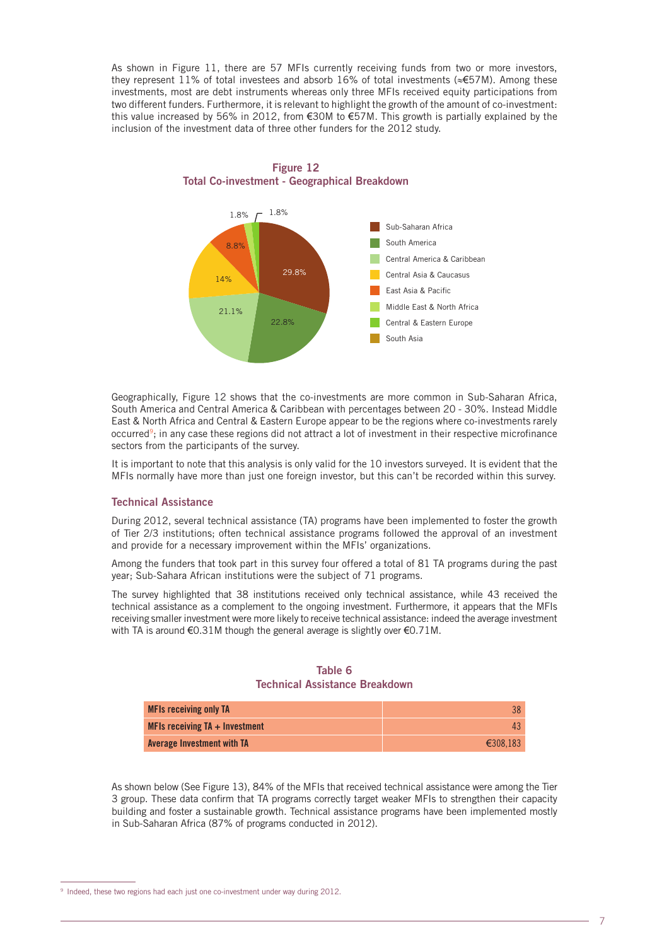As shown in Figure 11, there are 57 MFIs currently receiving funds from two or more investors, they represent 11% of total investees and absorb 16% of total investments (≈€57M). Among these investments, most are debt instruments whereas only three MFIs received equity participations from two different funders. Furthermore, it is relevant to highlight the growth of the amount of co-investment: this value increased by 56% in 2012, from €30M to €57M. This growth is partially explained by the inclusion of the investment data of three other funders for the 2012 study.



**Figure 12 Total Co-investment - Geographical Breakdown**

Geographically, Figure 12 shows that the co-investments are more common in Sub-Saharan Africa, South America and Central America & Caribbean with percentages between 20 - 30%. Instead Middle East & North Africa and Central & Eastern Europe appear to be the regions where co-investments rarely occurred<sup>9</sup>; in any case these regions did not attract a lot of investment in their respective microfinance sectors from the participants of the survey.

It is important to note that this analysis is only valid for the 10 investors surveyed. It is evident that the MFIs normally have more than just one foreign investor, but this can't be recorded within this survey.

#### **Technical Assistance**

During 2012, several technical assistance (TA) programs have been implemented to foster the growth of Tier 2/3 institutions; often technical assistance programs followed the approval of an investment and provide for a necessary improvement within the MFIs' organizations.

Among the funders that took part in this survey four offered a total of 81 TA programs during the past year; Sub-Sahara African institutions were the subject of 71 programs.

The survey highlighted that 38 institutions received only technical assistance, while 43 received the technical assistance as a complement to the ongoing investment. Furthermore, it appears that the MFIs receiving smaller investment were more likely to receive technical assistance: indeed the average investment with TA is around €0.31M though the general average is slightly over €0.71M.

#### **Table 6 Technical Assistance Breakdown**

| <b>MFIs receiving only TA</b>    |          |
|----------------------------------|----------|
| MFIs receiving $TA + Investment$ |          |
| Average Investment with TA       | €308.183 |

As shown below (See Figure 13), 84% of the MFIs that received technical assistance were among the Tier 3 group. These data confirm that TA programs correctly target weaker MFIs to strengthen their capacity building and foster a sustainable growth. Technical assistance programs have been implemented mostly in Sub-Saharan Africa (87% of programs conducted in 2012).

<sup>&</sup>lt;sup>9</sup> Indeed, these two regions had each just one co-investment under way during 2012.